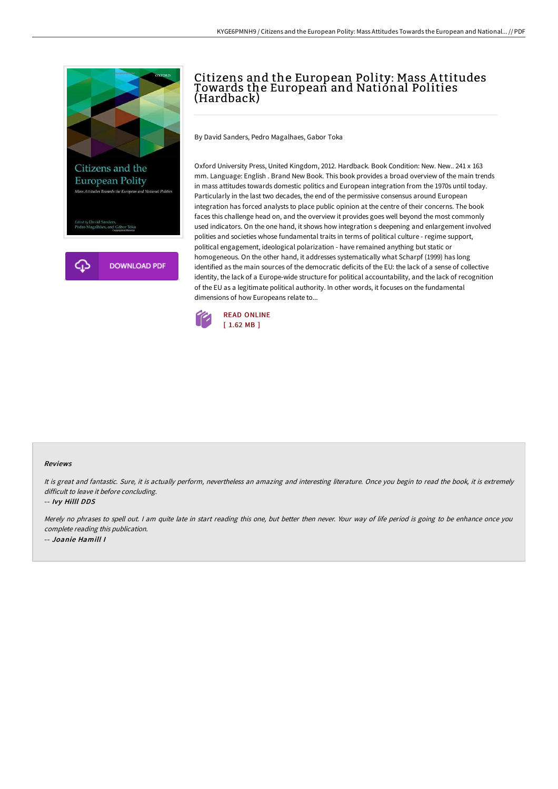

# Citizens and the European Polity: Mass A ttitudes Towards the European and National Polities (Hardback)

By David Sanders, Pedro Magalhaes, Gabor Toka

Oxford University Press, United Kingdom, 2012. Hardback. Book Condition: New. New.. 241 x 163 mm. Language: English . Brand New Book. This book provides a broad overview of the main trends in mass attitudes towards domestic politics and European integration from the 1970s until today. Particularly in the last two decades, the end of the permissive consensus around European integration has forced analysts to place public opinion at the centre of their concerns. The book faces this challenge head on, and the overview it provides goes well beyond the most commonly used indicators. On the one hand, it shows how integration s deepening and enlargement involved polities and societies whose fundamental traits in terms of political culture - regime support, political engagement, ideological polarization - have remained anything but static or homogeneous. On the other hand, it addresses systematically what Scharpf (1999) has long identified as the main sources of the democratic deficits of the EU: the lack of a sense of collective identity, the lack of a Europe-wide structure for political accountability, and the lack of recognition of the EU as a legitimate political authority. In other words, it focuses on the fundamental dimensions of how Europeans relate to...



#### Reviews

It is great and fantastic. Sure, it is actually perform, nevertheless an amazing and interesting literature. Once you begin to read the book, it is extremely difficult to leave it before concluding.

-- Ivy Hilll DDS

Merely no phrases to spell out. <sup>I</sup> am quite late in start reading this one, but better then never. Your way of life period is going to be enhance once you complete reading this publication. -- Joanie Hamill I